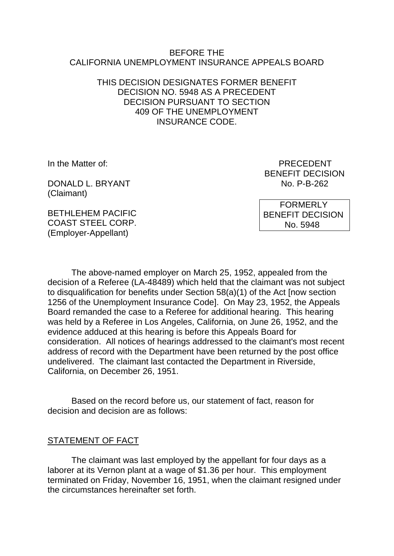#### BEFORE THE CALIFORNIA UNEMPLOYMENT INSURANCE APPEALS BOARD

# THIS DECISION DESIGNATES FORMER BENEFIT DECISION NO. 5948 AS A PRECEDENT DECISION PURSUANT TO SECTION 409 OF THE UNEMPLOYMENT INSURANCE CODE.

DONALD L. BRYANT NO. P-B-262 (Claimant)

In the Matter of: **PRECEDENT** BENEFIT DECISION

BETHL FHEM PACIFIC COAST STEEL CORP. (Employer-Appellant)

 FORMERLY BENEFIT DECISION No. 5948

The above-named employer on March 25, 1952, appealed from the decision of a Referee (LA-48489) which held that the claimant was not subject to disqualification for benefits under Section 58(a)(1) of the Act [now section 1256 of the Unemployment Insurance Code]. On May 23, 1952, the Appeals Board remanded the case to a Referee for additional hearing. This hearing was held by a Referee in Los Angeles, California, on June 26, 1952, and the evidence adduced at this hearing is before this Appeals Board for consideration. All notices of hearings addressed to the claimant's most recent address of record with the Department have been returned by the post office undelivered. The claimant last contacted the Department in Riverside, California, on December 26, 1951.

Based on the record before us, our statement of fact, reason for decision and decision are as follows:

#### STATEMENT OF FACT

The claimant was last employed by the appellant for four days as a laborer at its Vernon plant at a wage of \$1.36 per hour. This employment terminated on Friday, November 16, 1951, when the claimant resigned under the circumstances hereinafter set forth.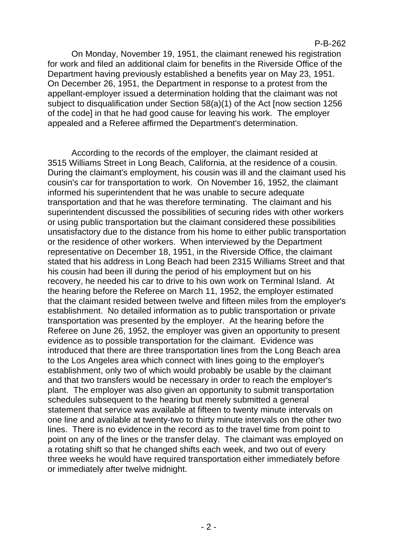#### P-B-262

On Monday, November 19, 1951, the claimant renewed his registration for work and filed an additional claim for benefits in the Riverside Office of the Department having previously established a benefits year on May 23, 1951. On December 26, 1951, the Department in response to a protest from the appellant-employer issued a determination holding that the claimant was not subject to disqualification under Section 58(a)(1) of the Act [now section 1256 of the code] in that he had good cause for leaving his work. The employer appealed and a Referee affirmed the Department's determination.

According to the records of the employer, the claimant resided at 3515 Williams Street in Long Beach, California, at the residence of a cousin. During the claimant's employment, his cousin was ill and the claimant used his cousin's car for transportation to work. On November 16, 1952, the claimant informed his superintendent that he was unable to secure adequate transportation and that he was therefore terminating. The claimant and his superintendent discussed the possibilities of securing rides with other workers or using public transportation but the claimant considered these possibilities unsatisfactory due to the distance from his home to either public transportation or the residence of other workers. When interviewed by the Department representative on December 18, 1951, in the Riverside Office, the claimant stated that his address in Long Beach had been 2315 Williams Street and that his cousin had been ill during the period of his employment but on his recovery, he needed his car to drive to his own work on Terminal Island. At the hearing before the Referee on March 11, 1952, the employer estimated that the claimant resided between twelve and fifteen miles from the employer's establishment. No detailed information as to public transportation or private transportation was presented by the employer. At the hearing before the Referee on June 26, 1952, the employer was given an opportunity to present evidence as to possible transportation for the claimant. Evidence was introduced that there are three transportation lines from the Long Beach area to the Los Angeles area which connect with lines going to the employer's establishment, only two of which would probably be usable by the claimant and that two transfers would be necessary in order to reach the employer's plant. The employer was also given an opportunity to submit transportation schedules subsequent to the hearing but merely submitted a general statement that service was available at fifteen to twenty minute intervals on one line and available at twenty-two to thirty minute intervals on the other two lines. There is no evidence in the record as to the travel time from point to point on any of the lines or the transfer delay. The claimant was employed on a rotating shift so that he changed shifts each week, and two out of every three weeks he would have required transportation either immediately before or immediately after twelve midnight.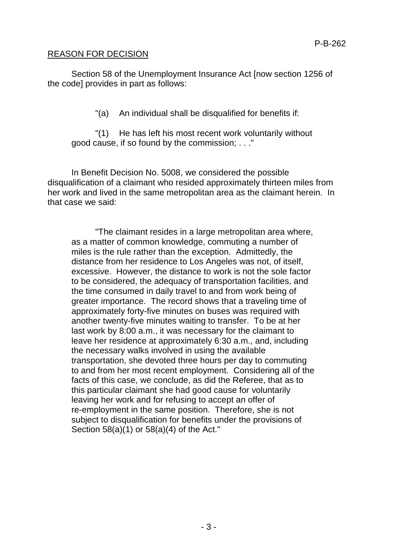# REASON FOR DECISION

Section 58 of the Unemployment Insurance Act [now section 1256 of the code] provides in part as follows:

"(a) An individual shall be disqualified for benefits if:

"(1) He has left his most recent work voluntarily without good cause, if so found by the commission; . . ."

In Benefit Decision No. 5008, we considered the possible disqualification of a claimant who resided approximately thirteen miles from her work and lived in the same metropolitan area as the claimant herein. In that case we said:

"The claimant resides in a large metropolitan area where, as a matter of common knowledge, commuting a number of miles is the rule rather than the exception. Admittedly, the distance from her residence to Los Angeles was not, of itself, excessive. However, the distance to work is not the sole factor to be considered, the adequacy of transportation facilities, and the time consumed in daily travel to and from work being of greater importance. The record shows that a traveling time of approximately forty-five minutes on buses was required with another twenty-five minutes waiting to transfer. To be at her last work by 8:00 a.m., it was necessary for the claimant to leave her residence at approximately 6:30 a.m., and, including the necessary walks involved in using the available transportation, she devoted three hours per day to commuting to and from her most recent employment. Considering all of the facts of this case, we conclude, as did the Referee, that as to this particular claimant she had good cause for voluntarily leaving her work and for refusing to accept an offer of re-employment in the same position. Therefore, she is not subject to disqualification for benefits under the provisions of Section 58(a)(1) or 58(a)(4) of the Act."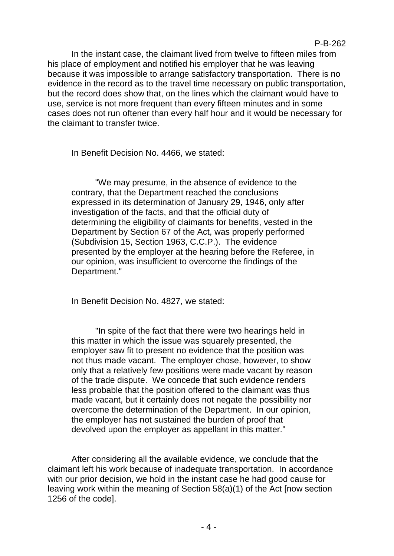In the instant case, the claimant lived from twelve to fifteen miles from his place of employment and notified his employer that he was leaving because it was impossible to arrange satisfactory transportation. There is no evidence in the record as to the travel time necessary on public transportation, but the record does show that, on the lines which the claimant would have to use, service is not more frequent than every fifteen minutes and in some cases does not run oftener than every half hour and it would be necessary for the claimant to transfer twice.

In Benefit Decision No. 4466, we stated:

"We may presume, in the absence of evidence to the contrary, that the Department reached the conclusions expressed in its determination of January 29, 1946, only after investigation of the facts, and that the official duty of determining the eligibility of claimants for benefits, vested in the Department by Section 67 of the Act, was properly performed (Subdivision 15, Section 1963, C.C.P.). The evidence presented by the employer at the hearing before the Referee, in our opinion, was insufficient to overcome the findings of the Department."

In Benefit Decision No. 4827, we stated:

"In spite of the fact that there were two hearings held in this matter in which the issue was squarely presented, the employer saw fit to present no evidence that the position was not thus made vacant. The employer chose, however, to show only that a relatively few positions were made vacant by reason of the trade dispute. We concede that such evidence renders less probable that the position offered to the claimant was thus made vacant, but it certainly does not negate the possibility nor overcome the determination of the Department. In our opinion, the employer has not sustained the burden of proof that devolved upon the employer as appellant in this matter."

After considering all the available evidence, we conclude that the claimant left his work because of inadequate transportation. In accordance with our prior decision, we hold in the instant case he had good cause for leaving work within the meaning of Section 58(a)(1) of the Act [now section 1256 of the code].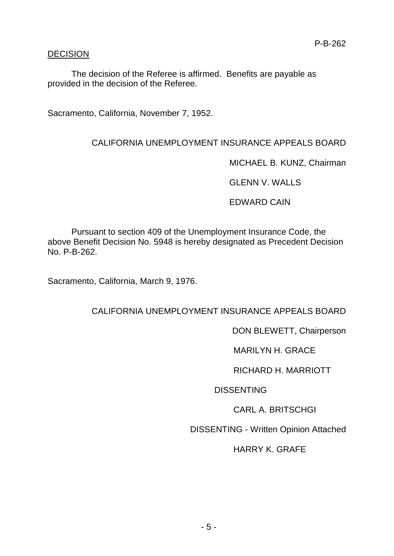# DECISION

The decision of the Referee is affirmed. Benefits are payable as provided in the decision of the Referee.

Sacramento, California, November 7, 1952.

# CALIFORNIA UNEMPLOYMENT INSURANCE APPEALS BOARD

MICHAEL B. KUNZ, Chairman

GLENN V. WALLS

EDWARD CAIN

Pursuant to section 409 of the Unemployment Insurance Code, the above Benefit Decision No. 5948 is hereby designated as Precedent Decision No. P-B-262.

Sacramento, California, March 9, 1976.

CALIFORNIA UNEMPLOYMENT INSURANCE APPEALS BOARD

DON BLEWETT, Chairperson

MARILYN H. GRACE

RICHARD H. MARRIOTT

**DISSENTING** 

CARL A. BRITSCHGI

DISSENTING - Written Opinion Attached

HARRY K. GRAFE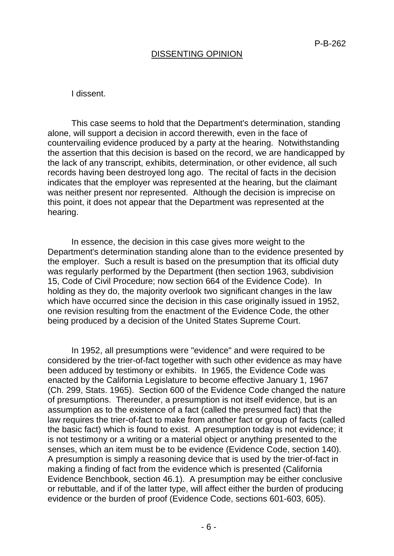#### DISSENTING OPINION

#### I dissent.

This case seems to hold that the Department's determination, standing alone, will support a decision in accord therewith, even in the face of countervailing evidence produced by a party at the hearing. Notwithstanding the assertion that this decision is based on the record, we are handicapped by the lack of any transcript, exhibits, determination, or other evidence, all such records having been destroyed long ago. The recital of facts in the decision indicates that the employer was represented at the hearing, but the claimant was neither present nor represented. Although the decision is imprecise on this point, it does not appear that the Department was represented at the hearing.

In essence, the decision in this case gives more weight to the Department's determination standing alone than to the evidence presented by the employer. Such a result is based on the presumption that its official duty was regularly performed by the Department (then section 1963, subdivision 15, Code of Civil Procedure; now section 664 of the Evidence Code). In holding as they do, the majority overlook two significant changes in the law which have occurred since the decision in this case originally issued in 1952, one revision resulting from the enactment of the Evidence Code, the other being produced by a decision of the United States Supreme Court.

In 1952, all presumptions were "evidence" and were required to be considered by the trier-of-fact together with such other evidence as may have been adduced by testimony or exhibits. In 1965, the Evidence Code was enacted by the California Legislature to become effective January 1, 1967 (Ch. 299, Stats. 1965). Section 600 of the Evidence Code changed the nature of presumptions. Thereunder, a presumption is not itself evidence, but is an assumption as to the existence of a fact (called the presumed fact) that the law requires the trier-of-fact to make from another fact or group of facts (called the basic fact) which is found to exist. A presumption today is not evidence; it is not testimony or a writing or a material object or anything presented to the senses, which an item must be to be evidence (Evidence Code, section 140). A presumption is simply a reasoning device that is used by the trier-of-fact in making a finding of fact from the evidence which is presented (California Evidence Benchbook, section 46.1). A presumption may be either conclusive or rebuttable, and if of the latter type, will affect either the burden of producing evidence or the burden of proof (Evidence Code, sections 601-603, 605).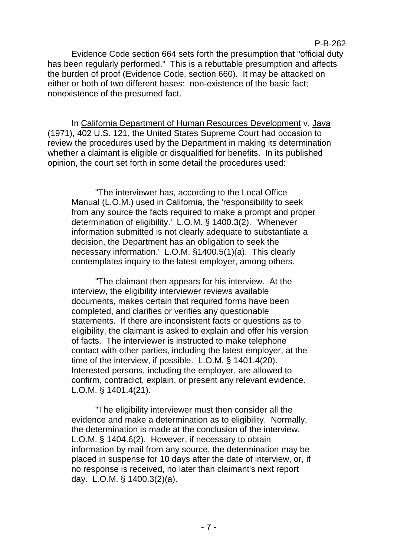# Evidence Code section 664 sets forth the presumption that "official duty has been regularly performed." This is a rebuttable presumption and affects the burden of proof (Evidence Code, section 660). It may be attacked on either or both of two different bases: non-existence of the basic fact; nonexistence of the presumed fact.

P-B-262

In California Department of Human Resources Development v. Java (1971), 402 U.S. 121, the United States Supreme Court had occasion to review the procedures used by the Department in making its determination whether a claimant is eligible or disqualified for benefits. In its published opinion, the court set forth in some detail the procedures used:

"The interviewer has, according to the Local Office Manual (L.O.M.) used in California, the 'responsibility to seek from any source the facts required to make a prompt and proper determination of eligibility.' L.O.M. § 1400.3(2). 'Whenever information submitted is not clearly adequate to substantiate a decision, the Department has an obligation to seek the necessary information.' L.O.M. §1400.5(1)(a). This clearly contemplates inquiry to the latest employer, among others.

"The claimant then appears for his interview. At the interview, the eligibility interviewer reviews available documents, makes certain that required forms have been completed, and clarifies or verifies any questionable statements. If there are inconsistent facts or questions as to eligibility, the claimant is asked to explain and offer his version of facts. The interviewer is instructed to make telephone contact with other parties, including the latest employer, at the time of the interview, if possible. L.O.M. § 1401.4(20). Interested persons, including the employer, are allowed to confirm, contradict, explain, or present any relevant evidence. L.O.M. § 1401.4(21).

"The eligibility interviewer must then consider all the evidence and make a determination as to eligibility. Normally, the determination is made at the conclusion of the interview. L.O.M. § 1404.6(2). However, if necessary to obtain information by mail from any source, the determination may be placed in suspense for 10 days after the date of interview, or, if no response is received, no later than claimant's next report day. L.O.M. § 1400.3(2)(a).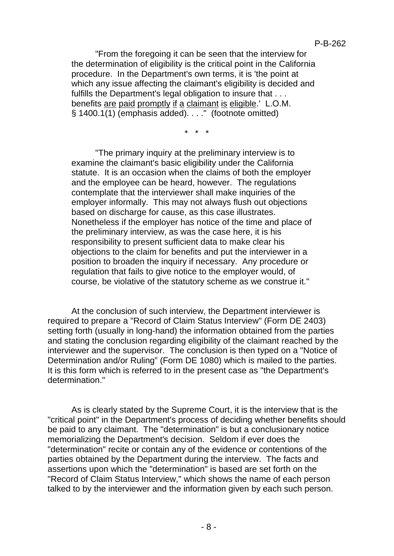"From the foregoing it can be seen that the interview for the determination of eligibility is the critical point in the California procedure. In the Department's own terms, it is 'the point at which any issue affecting the claimant's eligibility is decided and fulfills the Department's legal obligation to insure that . . . benefits are paid promptly if a claimant is eligible.' L.O.M.  $\overline{\S}$  1400.1(1) (emphasis added)...." (footnote omitted)

\* \* \*

"The primary inquiry at the preliminary interview is to examine the claimant's basic eligibility under the California statute. It is an occasion when the claims of both the employer and the employee can be heard, however. The regulations contemplate that the interviewer shall make inquiries of the employer informally. This may not always flush out objections based on discharge for cause, as this case illustrates. Nonetheless if the employer has notice of the time and place of the preliminary interview, as was the case here, it is his responsibility to present sufficient data to make clear his objections to the claim for benefits and put the interviewer in a position to broaden the inquiry if necessary. Any procedure or regulation that fails to give notice to the employer would, of course, be violative of the statutory scheme as we construe it."

At the conclusion of such interview, the Department interviewer is required to prepare a "Record of Claim Status Interview" (Form DE 2403) setting forth (usually in long-hand) the information obtained from the parties and stating the conclusion regarding eligibility of the claimant reached by the interviewer and the supervisor. The conclusion is then typed on a "Notice of Determination and/or Ruling" (Form DE 1080) which is mailed to the parties. It is this form which is referred to in the present case as "the Department's determination."

As is clearly stated by the Supreme Court, it is the interview that is the "critical point" in the Department's process of deciding whether benefits should be paid to any claimant. The "determination" is but a conclusionary notice memorializing the Department's decision. Seldom if ever does the "determination" recite or contain any of the evidence or contentions of the parties obtained by the Department during the interview. The facts and assertions upon which the "determination" is based are set forth on the "Record of Claim Status Interview," which shows the name of each person talked to by the interviewer and the information given by each such person.